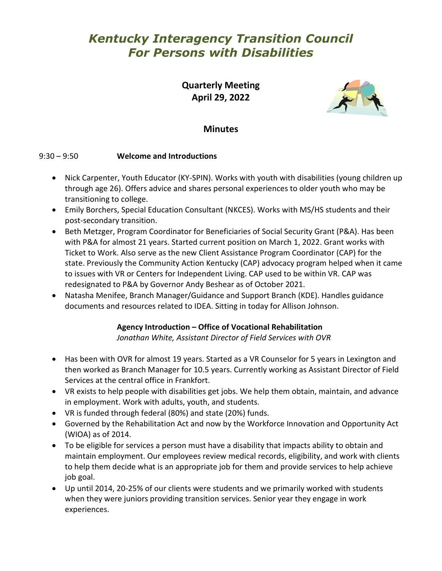# *Kentucky Interagency Transition Council For Persons with Disabilities*

**Quarterly Meeting April 29, 2022**



## **Minutes**

### 9:30 – 9:50 **Welcome and Introductions**

- Nick Carpenter, Youth Educator (KY-SPIN). Works with youth with disabilities (young children up through age 26). Offers advice and shares personal experiences to older youth who may be transitioning to college.
- Emily Borchers, Special Education Consultant (NKCES). Works with MS/HS students and their post-secondary transition.
- Beth Metzger, Program Coordinator for Beneficiaries of Social Security Grant (P&A). Has been with P&A for almost 21 years. Started current position on March 1, 2022. Grant works with Ticket to Work. Also serve as the new Client Assistance Program Coordinator (CAP) for the state. Previously the Community Action Kentucky (CAP) advocacy program helped when it came to issues with VR or Centers for Independent Living. CAP used to be within VR. CAP was redesignated to P&A by Governor Andy Beshear as of October 2021.
- Natasha Menifee, Branch Manager/Guidance and Support Branch (KDE). Handles guidance documents and resources related to IDEA. Sitting in today for Allison Johnson.

## **Agency Introduction – Office of Vocational Rehabilitation**

*Jonathan White, Assistant Director of Field Services with OVR*

- Has been with OVR for almost 19 years. Started as a VR Counselor for 5 years in Lexington and then worked as Branch Manager for 10.5 years. Currently working as Assistant Director of Field Services at the central office in Frankfort.
- VR exists to help people with disabilities get jobs. We help them obtain, maintain, and advance in employment. Work with adults, youth, and students.
- VR is funded through federal (80%) and state (20%) funds.
- Governed by the Rehabilitation Act and now by the Workforce Innovation and Opportunity Act (WIOA) as of 2014.
- To be eligible for services a person must have a disability that impacts ability to obtain and maintain employment. Our employees review medical records, eligibility, and work with clients to help them decide what is an appropriate job for them and provide services to help achieve job goal.
- Up until 2014, 20-25% of our clients were students and we primarily worked with students when they were juniors providing transition services. Senior year they engage in work experiences.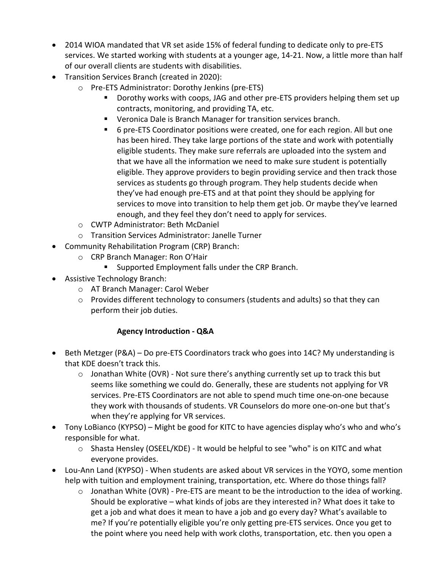- 2014 WIOA mandated that VR set aside 15% of federal funding to dedicate only to pre-ETS services. We started working with students at a younger age, 14-21. Now, a little more than half of our overall clients are students with disabilities.
- Transition Services Branch (created in 2020):
	- o Pre-ETS Administrator: Dorothy Jenkins (pre-ETS)
		- Dorothy works with coops, JAG and other pre-ETS providers helping them set up contracts, monitoring, and providing TA, etc.
		- Veronica Dale is Branch Manager for transition services branch.
		- 6 pre-ETS Coordinator positions were created, one for each region. All but one has been hired. They take large portions of the state and work with potentially eligible students. They make sure referrals are uploaded into the system and that we have all the information we need to make sure student is potentially eligible. They approve providers to begin providing service and then track those services as students go through program. They help students decide when they've had enough pre-ETS and at that point they should be applying for services to move into transition to help them get job. Or maybe they've learned enough, and they feel they don't need to apply for services.
	- o CWTP Administrator: Beth McDaniel
	- o Transition Services Administrator: Janelle Turner
- Community Rehabilitation Program (CRP) Branch:
	- o CRP Branch Manager: Ron O'Hair
		- **Supported Employment falls under the CRP Branch.**
- Assistive Technology Branch:
	- o AT Branch Manager: Carol Weber
	- o Provides different technology to consumers (students and adults) so that they can perform their job duties.

## **Agency Introduction - Q&A**

- Beth Metzger (P&A) Do pre-ETS Coordinators track who goes into 14C? My understanding is that KDE doesn't track this.
	- $\circ$  Jonathan White (OVR) Not sure there's anything currently set up to track this but seems like something we could do. Generally, these are students not applying for VR services. Pre-ETS Coordinators are not able to spend much time one-on-one because they work with thousands of students. VR Counselors do more one-on-one but that's when they're applying for VR services.
- Tony LoBianco (KYPSO) Might be good for KITC to have agencies display who's who and who's responsible for what.
	- $\circ$  Shasta Hensley (OSEEL/KDE) It would be helpful to see "who" is on KITC and what everyone provides.
- Lou-Ann Land (KYPSO) When students are asked about VR services in the YOYO, some mention help with tuition and employment training, transportation, etc. Where do those things fall?
	- o Jonathan White (OVR) Pre-ETS are meant to be the introduction to the idea of working. Should be explorative – what kinds of jobs are they interested in? What does it take to get a job and what does it mean to have a job and go every day? What's available to me? If you're potentially eligible you're only getting pre-ETS services. Once you get to the point where you need help with work cloths, transportation, etc. then you open a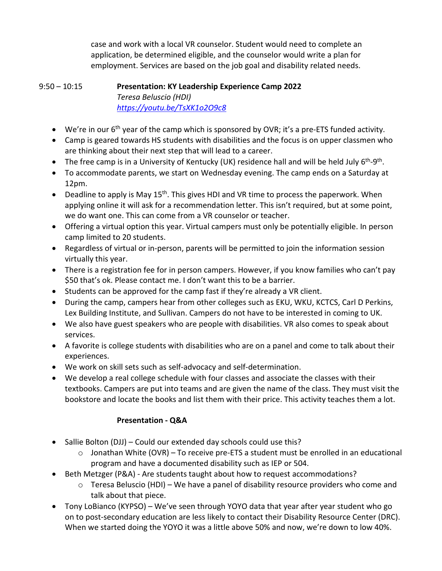case and work with a local VR counselor. Student would need to complete an application, be determined eligible, and the counselor would write a plan for employment. Services are based on the job goal and disability related needs.

#### 9:50 – 10:15 **Presentation: KY Leadership Experience Camp 2022** *Teresa Beluscio (HDI) <https://youtu.be/TsXK1o2O9c8>*

- We're in our  $6<sup>th</sup>$  year of the camp which is sponsored by OVR; it's a pre-ETS funded activity.
- Camp is geared towards HS students with disabilities and the focus is on upper classmen who are thinking about their next step that will lead to a career.
- The free camp is in a University of Kentucky (UK) residence hall and will be held July  $6<sup>th</sup>-9<sup>th</sup>$ .
- To accommodate parents, we start on Wednesday evening. The camp ends on a Saturday at 12pm.
- Deadline to apply is May  $15<sup>th</sup>$ . This gives HDI and VR time to process the paperwork. When applying online it will ask for a recommendation letter. This isn't required, but at some point, we do want one. This can come from a VR counselor or teacher.
- Offering a virtual option this year. Virtual campers must only be potentially eligible. In person camp limited to 20 students.
- Regardless of virtual or in-person, parents will be permitted to join the information session virtually this year.
- There is a registration fee for in person campers. However, if you know families who can't pay \$50 that's ok. Please contact me. I don't want this to be a barrier.
- Students can be approved for the camp fast if they're already a VR client.
- During the camp, campers hear from other colleges such as EKU, WKU, KCTCS, Carl D Perkins, Lex Building Institute, and Sullivan. Campers do not have to be interested in coming to UK.
- We also have guest speakers who are people with disabilities. VR also comes to speak about services.
- A favorite is college students with disabilities who are on a panel and come to talk about their experiences.
- We work on skill sets such as self-advocacy and self-determination.
- We develop a real college schedule with four classes and associate the classes with their textbooks. Campers are put into teams and are given the name of the class. They must visit the bookstore and locate the books and list them with their price. This activity teaches them a lot.

## **Presentation - Q&A**

- Sallie Bolton (DJJ) Could our extended day schools could use this?
	- $\circ$  Jonathan White (OVR) To receive pre-ETS a student must be enrolled in an educational program and have a documented disability such as IEP or 504.
- Beth Metzger (P&A) Are students taught about how to request accommodations?
	- $\circ$  Teresa Beluscio (HDI) We have a panel of disability resource providers who come and talk about that piece.
- Tony LoBianco (KYPSO) We've seen through YOYO data that year after year student who go on to post-secondary education are less likely to contact their Disability Resource Center (DRC). When we started doing the YOYO it was a little above 50% and now, we're down to low 40%.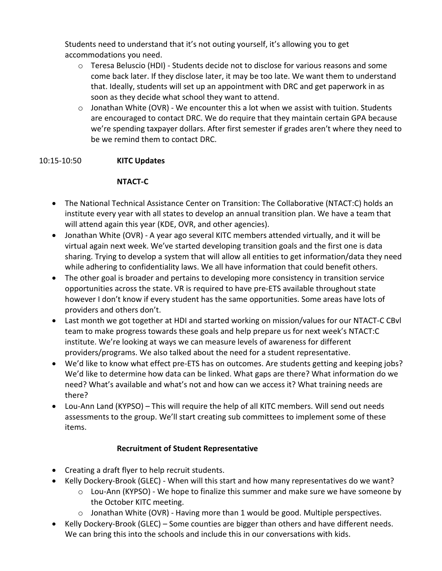Students need to understand that it's not outing yourself, it's allowing you to get accommodations you need.

- $\circ$  Teresa Beluscio (HDI) Students decide not to disclose for various reasons and some come back later. If they disclose later, it may be too late. We want them to understand that. Ideally, students will set up an appointment with DRC and get paperwork in as soon as they decide what school they want to attend.
- $\circ$  Jonathan White (OVR) We encounter this a lot when we assist with tuition. Students are encouraged to contact DRC. We do require that they maintain certain GPA because we're spending taxpayer dollars. After first semester if grades aren't where they need to be we remind them to contact DRC.

### 10:15-10:50 **KITC Updates**

### **NTACT-C**

- The National Technical Assistance Center on Transition: The Collaborative (NTACT:C) holds an institute every year with all states to develop an annual transition plan. We have a team that will attend again this year (KDE, OVR, and other agencies).
- Jonathan White (OVR) A year ago several KITC members attended virtually, and it will be virtual again next week. We've started developing transition goals and the first one is data sharing. Trying to develop a system that will allow all entities to get information/data they need while adhering to confidentiality laws. We all have information that could benefit others.
- The other goal is broader and pertains to developing more consistency in transition service opportunities across the state. VR is required to have pre-ETS available throughout state however I don't know if every student has the same opportunities. Some areas have lots of providers and others don't.
- Last month we got together at HDI and started working on mission/values for our NTACT-C CBvl team to make progress towards these goals and help prepare us for next week's NTACT:C institute. We're looking at ways we can measure levels of awareness for different providers/programs. We also talked about the need for a student representative.
- We'd like to know what effect pre-ETS has on outcomes. Are students getting and keeping jobs? We'd like to determine how data can be linked. What gaps are there? What information do we need? What's available and what's not and how can we access it? What training needs are there?
- Lou-Ann Land (KYPSO) This will require the help of all KITC members. Will send out needs assessments to the group. We'll start creating sub committees to implement some of these items.

## **Recruitment of Student Representative**

- Creating a draft flyer to help recruit students.
- Kelly Dockery-Brook (GLEC) When will this start and how many representatives do we want?
	- o Lou-Ann (KYPSO) We hope to finalize this summer and make sure we have someone by the October KITC meeting.
	- o Jonathan White (OVR) Having more than 1 would be good. Multiple perspectives.
- Kelly Dockery-Brook (GLEC) Some counties are bigger than others and have different needs. We can bring this into the schools and include this in our conversations with kids.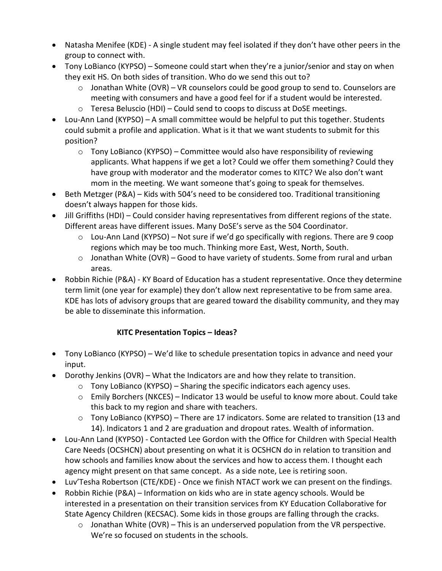- Natasha Menifee (KDE) A single student may feel isolated if they don't have other peers in the group to connect with.
- Tony LoBianco (KYPSO) Someone could start when they're a junior/senior and stay on when they exit HS. On both sides of transition. Who do we send this out to?
	- $\circ$  Jonathan White (OVR) VR counselors could be good group to send to. Counselors are meeting with consumers and have a good feel for if a student would be interested.
	- o Teresa Beluscio (HDI) Could send to coops to discuss at DoSE meetings.
- Lou-Ann Land (KYPSO) A small committee would be helpful to put this together. Students could submit a profile and application. What is it that we want students to submit for this position?
	- $\circ$  Tony LoBianco (KYPSO) Committee would also have responsibility of reviewing applicants. What happens if we get a lot? Could we offer them something? Could they have group with moderator and the moderator comes to KITC? We also don't want mom in the meeting. We want someone that's going to speak for themselves.
- Beth Metzger (P&A) Kids with 504's need to be considered too. Traditional transitioning doesn't always happen for those kids.
- Jill Griffiths (HDI) Could consider having representatives from different regions of the state. Different areas have different issues. Many DoSE's serve as the 504 Coordinator.
	- $\circ$  Lou-Ann Land (KYPSO) Not sure if we'd go specifically with regions. There are 9 coop regions which may be too much. Thinking more East, West, North, South.
	- o Jonathan White (OVR) Good to have variety of students. Some from rural and urban areas.
- Robbin Richie (P&A) KY Board of Education has a student representative. Once they determine term limit (one year for example) they don't allow next representative to be from same area. KDE has lots of advisory groups that are geared toward the disability community, and they may be able to disseminate this information.

## **KITC Presentation Topics – Ideas?**

- Tony LoBianco (KYPSO) We'd like to schedule presentation topics in advance and need your input.
- Dorothy Jenkins (OVR) What the Indicators are and how they relate to transition.
	- $\circ$  Tony LoBianco (KYPSO) Sharing the specific indicators each agency uses.
	- o Emily Borchers (NKCES) Indicator 13 would be useful to know more about. Could take this back to my region and share with teachers.
	- $\circ$  Tony LoBianco (KYPSO) There are 17 indicators. Some are related to transition (13 and 14). Indicators 1 and 2 are graduation and dropout rates. Wealth of information.
- Lou-Ann Land (KYPSO) Contacted Lee Gordon with the Office for Children with Special Health Care Needs (OCSHCN) about presenting on what it is OCSHCN do in relation to transition and how schools and families know about the services and how to access them. I thought each agency might present on that same concept. As a side note, Lee is retiring soon.
- Luv'Tesha Robertson (CTE/KDE) Once we finish NTACT work we can present on the findings.
- Robbin Richie (P&A) Information on kids who are in state agency schools. Would be interested in a presentation on their transition services from KY Education Collaborative for State Agency Children (KECSAC). Some kids in those groups are falling through the cracks.
	- $\circ$  Jonathan White (OVR) This is an underserved population from the VR perspective. We're so focused on students in the schools.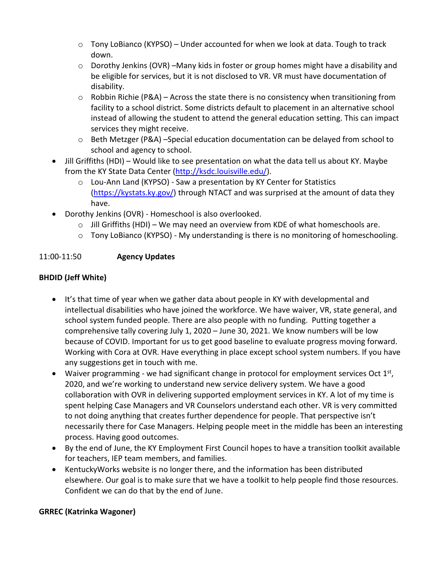- $\circ$  Tony LoBianco (KYPSO) Under accounted for when we look at data. Tough to track down.
- $\circ$  Dorothy Jenkins (OVR) –Many kids in foster or group homes might have a disability and be eligible for services, but it is not disclosed to VR. VR must have documentation of disability.
- $\circ$  Robbin Richie (P&A) Across the state there is no consistency when transitioning from facility to a school district. Some districts default to placement in an alternative school instead of allowing the student to attend the general education setting. This can impact services they might receive.
- $\circ$  Beth Metzger (P&A) –Special education documentation can be delayed from school to school and agency to school.
- Jill Griffiths (HDI) Would like to see presentation on what the data tell us about KY. Maybe from the KY State Data Center [\(http://ksdc.louisville.edu/\)](http://ksdc.louisville.edu/).
	- o Lou-Ann Land (KYPSO) Saw a presentation by KY Center for Statistics [\(https://kystats.ky.gov/\)](https://kystats.ky.gov/) through NTACT and was surprised at the amount of data they have.
- Dorothy Jenkins (OVR) Homeschool is also overlooked.
	- $\circ$  Jill Griffiths (HDI) We may need an overview from KDE of what homeschools are.
	- o Tony LoBianco (KYPSO) My understanding is there is no monitoring of homeschooling.

### 11:00-11:50 **Agency Updates**

## **BHDID (Jeff White)**

- It's that time of year when we gather data about people in KY with developmental and intellectual disabilities who have joined the workforce. We have waiver, VR, state general, and school system funded people. There are also people with no funding. Putting together a comprehensive tally covering July 1, 2020 – June 30, 2021. We know numbers will be low because of COVID. Important for us to get good baseline to evaluate progress moving forward. Working with Cora at OVR. Have everything in place except school system numbers. If you have any suggestions get in touch with me.
- Waiver programming we had significant change in protocol for employment services Oct  $1<sup>st</sup>$ , 2020, and we're working to understand new service delivery system. We have a good collaboration with OVR in delivering supported employment services in KY. A lot of my time is spent helping Case Managers and VR Counselors understand each other. VR is very committed to not doing anything that creates further dependence for people. That perspective isn't necessarily there for Case Managers. Helping people meet in the middle has been an interesting process. Having good outcomes.
- By the end of June, the KY Employment First Council hopes to have a transition toolkit available for teachers, IEP team members, and families.
- KentuckyWorks website is no longer there, and the information has been distributed elsewhere. Our goal is to make sure that we have a toolkit to help people find those resources. Confident we can do that by the end of June.

#### **GRREC (Katrinka Wagoner)**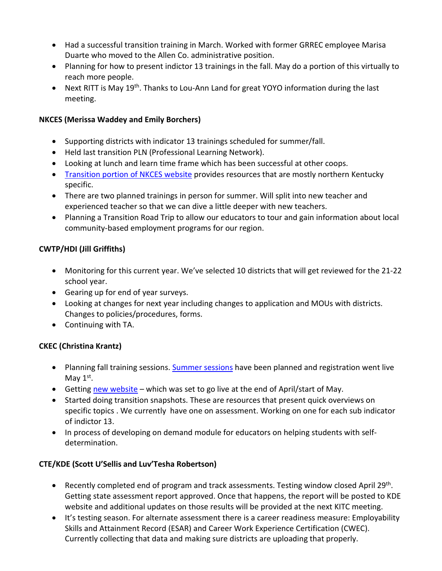- Had a successful transition training in March. Worked with former GRREC employee Marisa Duarte who moved to the Allen Co. administrative position.
- Planning for how to present indictor 13 trainings in the fall. May do a portion of this virtually to reach more people.
- Next RITT is May 19<sup>th</sup>. Thanks to Lou-Ann Land for great YOYO information during the last meeting.

### **NKCES (Merissa Waddey and Emily Borchers)**

- Supporting districts with indicator 13 trainings scheduled for summer/fall.
- Held last transition PLN (Professional Learning Network).
- Looking at lunch and learn time frame which has been successful at other coops.
- [Transition portion of NKCES website](https://sites.google.com/nkces.org/nkcestransition/home) provides resources that are mostly northern Kentucky specific.
- There are two planned trainings in person for summer. Will split into new teacher and experienced teacher so that we can dive a little deeper with new teachers.
- Planning a Transition Road Trip to allow our educators to tour and gain information about local community-based employment programs for our region.

### **CWTP/HDI (Jill Griffiths)**

- Monitoring for this current year. We've selected 10 districts that will get reviewed for the 21-22 school year.
- Gearing up for end of year surveys.
- Looking at changes for next year including changes to application and MOUs with districts. Changes to policies/procedures, forms.
- Continuing with TA.

#### **CKEC (Christina Krantz)**

- Planning fall training sessions[. Summer sessions](https://docs.google.com/document/d/1DgmjCpQ4fH1YV6NjOksruxokRfw-M9eb-AY6L7VyEHA/edit) have been planned and registration went live May  $1<sup>st</sup>$ .
- Getting [new website](https://sites.google.com/ckec.org/ckec-snapshots/snapshots)  which was set to go live at the end of April/start of May.
- Started doing transition snapshots. These are resources that present quick overviews on specific topics . We currently have one on assessment. Working on one for each sub indicator of indictor 13.
- In process of developing on demand module for educators on helping students with selfdetermination.

#### **CTE/KDE (Scott U'Sellis and Luv'Tesha Robertson)**

- Recently completed end of program and track assessments. Testing window closed April 29<sup>th</sup>. Getting state assessment report approved. Once that happens, the report will be posted to KDE website and additional updates on those results will be provided at the next KITC meeting.
- It's testing season. For alternate assessment there is a career readiness measure: Employability Skills and Attainment Record (ESAR) and Career Work Experience Certification (CWEC). Currently collecting that data and making sure districts are uploading that properly.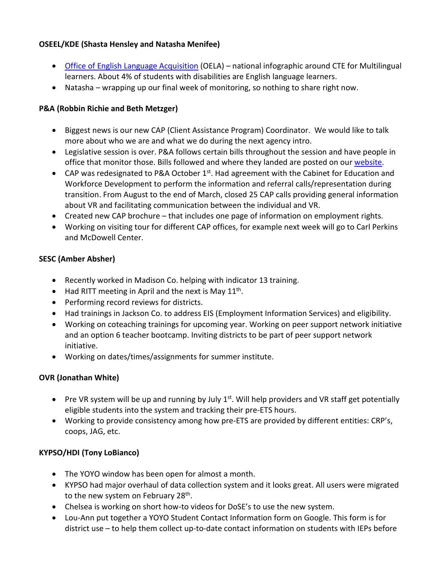## **OSEEL/KDE (Shasta Hensley and Natasha Menifee)**

- [Office of English Language Acquisition](https://ncela.ed.gov/files/fast_facts/OELACTEInfographic-20220407-508.pdf?utm_source=nexus_newsletter&utm_medium=email&utm_campaign=cte_infographic) (OELA) national infographic around CTE for Multilingual learners. About 4% of students with disabilities are English language learners.
- Natasha wrapping up our final week of monitoring, so nothing to share right now.

#### **P&A (Robbin Richie and Beth Metzger)**

- Biggest news is our new CAP (Client Assistance Program) Coordinator. We would like to talk more about who we are and what we do during the next agency intro.
- Legislative session is over. P&A follows certain bills throughout the session and have people in office that monitor those. Bills followed and where they landed are posted on our [website.](http://www.kypa.net/)
- CAP was redesignated to P&A October  $1^{st}$ . Had agreement with the Cabinet for Education and Workforce Development to perform the information and referral calls/representation during transition. From August to the end of March, closed 25 CAP calls providing general information about VR and facilitating communication between the individual and VR.
- Created new CAP brochure that includes one page of information on employment rights.
- Working on visiting tour for different CAP offices, for example next week will go to Carl Perkins and McDowell Center.

#### **SESC (Amber Absher)**

- Recently worked in Madison Co. helping with indicator 13 training.
- Had RITT meeting in April and the next is May  $11<sup>th</sup>$ .
- Performing record reviews for districts.
- Had trainings in Jackson Co. to address EIS (Employment Information Services) and eligibility.
- Working on coteaching trainings for upcoming year. Working on peer support network initiative and an option 6 teacher bootcamp. Inviting districts to be part of peer support network initiative.
- Working on dates/times/assignments for summer institute.

#### **OVR (Jonathan White)**

- Pre VR system will be up and running by July  $1<sup>st</sup>$ . Will help providers and VR staff get potentially eligible students into the system and tracking their pre-ETS hours.
- Working to provide consistency among how pre-ETS are provided by different entities: CRP's, coops, JAG, etc.

#### **KYPSO/HDI (Tony LoBianco)**

- The YOYO window has been open for almost a month.
- KYPSO had major overhaul of data collection system and it looks great. All users were migrated to the new system on February 28<sup>th</sup>.
- Chelsea is working on short how-to videos for DoSE's to use the new system.
- Lou-Ann put together a YOYO Student Contact Information form on Google. This form is for district use – to help them collect up-to-date contact information on students with IEPs before